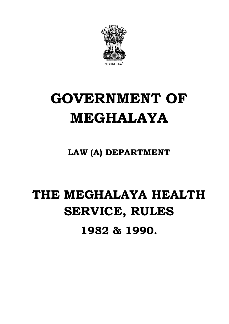

# **GOVERNMENT OF MEGHALAYA**

**LAW (A) DEPARTMENT**

# **THE MEGHALAYA HEALTH SERVICE, RULES** � **1982 & 1990.**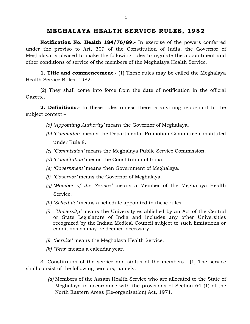# **MEGHALAYA HEALTH SERV ICE RULES , 1982**

 **Notification No. Health 184/76/89.-** In exercise of the powers conferred under the proviso to Art, 309 of the Constitution of India, the Governor of Meghalaya is pleased to make the following rules to regulate the appointment and other conditions of service of the members of the Meghalaya Health Service.

**1. Title and commencement.**- (1) These rules may be called the Meghalaya Health Service Rules, 1982.

 (2) They shall come into force from the date of notification in the official Gazette.

**2. Definitions.-** In these rules unless there is anything repugnant to the subject context –

- *(a) 'Appointing Authority'* means the Governor of Meghalaya.
- *(b) 'Committee'* means the Departmental Promotion Committee constituted under Rule 8.
- *(c) 'Commission'* means the Meghalaya Public Service Commission.
- *(d) 'Constitution'* means the Constitution of India.
- *(e) 'Government'* means then Government of Meghalaya.
- *(f) 'Governor'* means the Governor of Meghalaya.
- *(g) 'Member of the Service'* means a Member of the Meghalaya Health Service.
- *(h) 'Schedule'* means a schedule appointed to these rules.
- or State Legislature of India and includes any other Universities *(i)* � *'University'* means the University established by an Act of the Central recognized by the Indian Medical Council subject to such limitations or conditions as may be deemed necessary.
- *(j) 'Service'* means the Meghalaya Health Service.
- *(k) 'Year'* means a calendar year.

3. Constitution of the service and status of the members.- (1) The service shall consist of the following persons, namely:

> Meghalaya in accordance with the provisions of Section 64 (1) of the *(a)* Members of the Assam Health Service who are allocated to the State of North Eastern Areas (Re-organisation) Act, 1971.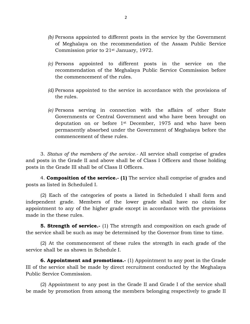- *(b)* Persons appointed to different posts in the service by the Government of Meghalaya on the recommendation of the Assam Public Service Commission prior to 21st January, 1972.
- *(c)* Persons appointed to different posts in the service on the recommendation of the Meghalaya Public Service Commission before the commencement of the rules.
- *(d)* Persons appointed to the service in accordance with the provisions of the rules.
- Governments or Central Government and who have been brought on deputation on or before 1st December, 1975 and who have been *(e)* Persons serving in connection with the affairs of other State permanently absorbed under the Government of Meghalaya before the commencement of these rules.

 and posts in the Grade II and above shall be of Class I Officers and those holding posts in the Grade III shall be of Class II Officers. 3. *Status of the members of the service.-* All service shall comprise of grades

4. **Composition of the service.- (1)** The service shall comprise of grades and posts as listed in Scheduled I.

 (2) Each of the categories of posts a listed in Scheduled I shall form and independent grade. Members of the lower grade shall have no claim for appointment to any of the higher grade except in accordance with the provisions made in the these rules.

**5. Strength of service.-** (1) The strength and composition on each grade of the service shall be such as may be determined by the Governor from time to time.

(2) At the commencement of these rules the strength in each grade of the service shall be as shown in Schedule I.

 III of the service shall be made by direct recruitment conducted by the Meghalaya **6. Appointment and promotions.-** (1) Appointment to any post in the Grade Public Service Commission.

 (2) Appointment to any post in the Grade II and Grade I of the service shall be made by promotion from among the members belonging respectively to grade II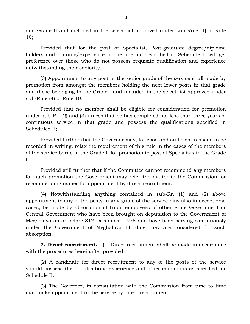and Grade II and included in the select list approved under sub-Rule (4) of Rule 10;

 Provided that for the post of Specialist, Post-graduate degree/diploma preference over those who do not possess requisite qualification and experience holders and training/experience in the line as prescribed in Schedule II will get notwithstanding their seniority.

 promotion from amongst the members holding the next lower posts in that grade and those belonging to the Grade I and included in the select list approved under (3) Appointment to any post in the senior grade of the service shall made by sub-Rule (4) of Rule 10.

 Provided that no member shall be eligible for consideration for promotion under sub-Rr. (2) and (3) unless that he has completed not less than three years of continuous service in that grade and possess the qualifications specified in Scheduled II;

 Provided further that the Governor may, for good and sufficient reasons to be recorded in writing, relax the requirement of this rule in the cases of the members of the service borne in the Grade II for promotion to post of Specialists in the Grade II;

 for such promotion the Government may refer the matter to the Commission for Provided still further that if the Committee cannot recommend any members recommending names for appointment by direct recruitment.

 appointment to any of the posts in any grade of the service may also in exceptional cases, be made by absorption of tribal employees of other State Government or Central Government who have been brought on deputation to the Government of Meghalaya on or before 31st December, 1975 and have been serving continuously under the Government of Meghalaya till date they are considered for such absorption. (4) Notwithstanding anything contained in sub-Rr. (1) and (2) above

**7. Direct recruitment.-** (1) Direct recruitment shall be made in accordance with the procedures hereinafter provided.

 should possess the qualifications experience and other conditions as specified for (2) A candidate for direct recruitment to any of the posts of the service Schedule II.

 (3) The Governor, in consultation with the Commission from time to time may make appointment to the service by direct recruitment.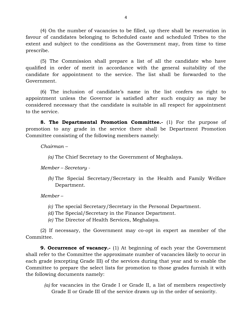(4) On the number of vacancies to be filled, up there shall be reservation in favour of candidates belonging to Scheduled caste and scheduled Tribes to the extent and subject to the conditions as the Government may, from time to time prescribe.

 qualified in order of merit in accordance with the general suitability of the candidate for appointment to the service. The list shall be forwarded to the (5) The Commission shall prepare a list of all the candidate who have Government.

 appointment unless the Governor is satisfied after such enquiry as may be (6) The inclusion of candidate's name in the list confers no right to considered necessary that the candidate is suitable in all respect for appointment to the service.

**8. The Departmental Promotion Committee.-** (1) For the purpose of promotion to any grade in the service there shall be Department Promotion Committee consisting of the following members namely:

*Chairman –* 

*(a)* The Chief Secretary to the Government of Meghalaya.

 *Member – Secretary -*

*(b)* The Special Secretary/Secretary in the Health and Family Welfare Department.

Member-

- *(c)* The special Secretary/Secretary in the Personal Department.
- *(d)* The Special/Secretary in the Finance Department.
- *(e)* The Director of Health Services, Meghalaya.

(2) If necessary, the Government may co-opt in expert as member of the Committee.

**9. Occurrence of vacancy.**- (1) At beginning of each year the Government each grade (excepting Grade III) of the services during that year and to enable the Committee to prepare the select lists for promotion to those grades furnish it with shall refer to the Committee the approximate number of vacancies likely to occur in the following documents namely:

 *(a)* for vacancies in the Grade I or Grade II, a list of members respectively Grade II or Grade III of the service drawn up in the order of seniority.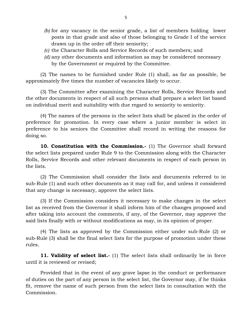- *(b)* for any vacancy in the senior grade, a list of members holding lower posts in that grade and also of those belonging to Grade I of the service drawn up in the order off their seniority;
- *(c)* the Character Rolls and Service Records of such members; and
- *(d)* any other documents and information as may be considered necessary by the Government or required by the Committee.

(2) The names to be furnished under Rule (1) shall, as far as possible, be approximately five times the number of vacancies likely to occur.

(3) The Committee after examining the Character Rolls, Service Records and the other documents in respect of all such persons shall prepare a select list based on individual merit and suitability with due regard to seniority to seniority.

 preference for promotion. In every case where a junior member is select in (4) The names of the persons in the select lists shall be placed in the order of preference to his seniors the Committee shall record in writing the reasons for doing so.

 the select lists prepared under Rule 9 to the Commission along with the Character Rolls, Service Records and other relevant documents in respect of each person in **10. Constitution with the Commission.-** (1) The Governor shall forward the lists.

 (2) The Commission shall consider the lists and documents referred to in sub-Rule (1) and such other documents as it may call for, and unless it considered that any change is necessary, approve the select lists.

 after taking into account the comments, if any, of the Governor, may approve the (3) If the Commission considers it necessary to make changes in the select list as received from the Governor it shall inform him of the changes proposed and said lists finally with or without modifications as may, in its opinion of proper.

 (4) The lists as approved by the Commission either under sub-Rule (2) or sub-Rule (3) shall be the final select lists for the purpose of promotion under these rules.

**11. Validity of select list.**- (1) The select lists shall ordinarily be in force until it is reviewed or revised;

 Provided that in the event of any grave lapse in the conduct or performance of duties on the part of any person in the select list, the Governor may, if he thinks fit, remove the name of such person from the select lists in consultation with the Commission.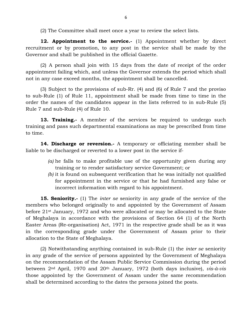(2) The Committee shall meet once a year to review the select lists.

 recruitment or by promotion, to any post in the service shall be made by the **12. Appointment to the service.-** (1) Appointment whether by direct Governor and shall be published in the official Gazette.

 (2) A person shall join with 15 days from the date of receipt of the order appointment failing which, and unless the Governor extends the period which shall not in any case exceed months, the appointment shall be cancelled.

 (3) Subject to the provisions of sub-Rr. (4) and (6) of Rule 7 and the proviso to sub-Rule (1) of Rule 11, appointment shall be made from time to time in the order the names of the candidates appear in the lists referred to in sub-Rule (5) Rule 7 and sub-Rule (4) of Rule 10.

 **13. Training.-** A member of the services be required to undergo such training and pass such departmental examinations as may be prescribed from time to time.

**14. Discharge or reversion.-** A temporary or officiating member shall be liable to be discharged or reverted to a lower post in the service if-

- *(a)* he falls to make profitable use of the opportunity given during any training or to render satisfactory service Government; or
- *(b)* it is found on subsequent verification that he was initially not qualified for appointment in the service or that he had furnished any false or incorrect information with regard to his appointment.

 members who belonged originally to and appointed by the Government of Assam before 21st January, 1972 and who were allocated or may be allocated to the State of Meghalaya in accordance with the provisions of Section 64 (1) of the North **15. Seniority.-** (1) The *inter se* seniority in any grade of the service of the Easter Areas (Re-organisation) Act, 1971 in the respective grade shall be as it was in the corresponding grade under the Government of Assam prior to their allocation to the State of Meghalaya.

 (2) Notwithstanding anything contained in sub-Rule (1) the *inter se* seniority between 2nd April, 1970 and 20th January, 1972 (both days inclusive), *vis-à-vis*  in any grade of the service of persons appointed by the Government of Meghalaya on the recommendation of the Assam Public Service Commission during the period those appointed by the Government of Assam under the same recommendation shall be determined according to the dates the persons joined the posts.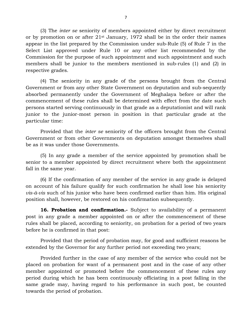or by promotion on or after 21st January, 1972 shall be in the order their names appear in the list prepared by the Commission under sub-Rule (5) of Rule 7 in the Commission for the purpose of such appointment and such appointment and such members shall be junior to the members mentioned in sub-rules (1) and (2) in (3) The *inter se* seniority of members appointed either by direct recruitment Select List approved under Rule 10 or any other list recommended by the respective grades.

 (4) The seniority in any grade of the persons brought from the Central commencement of these rules shall be determined with effect from the date such persons started serving continuously in that grade as a deputationist and will rank junior to the junior-most person in position in that particular grade at the Government or from any other State Government on deputation and sub-sequently absorbed permanently under the Government of Meghalaya before or after the particular time:

 Provided that the *inter se* seniority of the officers brought from the Central Government or from other Governments on deputation amongst themselves shall be as it was under those Governments.

(5) In any grade a member of the service appointed by promotion shall be senior to a member appointed by direct recruitment where both the appointment fall in the same year.

 (6) If the confirmation of any member of the service in any grade is delayed on account of his failure qualify for such confirmation he shall lose his seniority *vis-à-vis* such of his junior who have been confirmed earlier than him. His original position shall, however, be restored on his confirmation subsequently.

16. Probation and confirmation. Subject to availability of a permanent rules shall be placed, according to seniority, on probation for a period of two years post in any grade a member appointed on or after the commencement of these before he is confirmed in that post:

 Provided that the period of probation may, for good and sufficient reasons be extended by the Governor for any further period not exceeding two years;

 placed on probation for want of a permanent post and in the case of any other member appointed or promoted before the commencement of these rules any Provided further in the case of any member of the service who could not be period during which he has been continuously officiating in a post falling in the same grade may, having regard to his performance in such post, be counted towards the period of probation.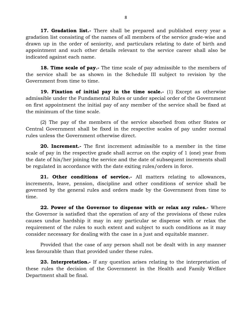**17. Gradation list.-** There shall be prepared and published every year a gradation list consisting of the names of all members of the service grade-wise and drawn up in the order of seniority, and particulars relating to date of birth and appointment and such other details relevant to the service career shall also be indicated against each name.

**18. Time scale of pay.**- The time scale of pay admissible to the members of the service shall be as shown in the Schedule III subject to revision by the Government from time to time.

 on first appointment the initial pay of any member of the service shall be fixed at **19. Fixation of initial pay in the time scale.-** (1) Except as otherwise admissible under the Fundamental Rules or under special order of the Government the minimum of the time scale.

 (2) The pay of the members of the service absorbed from other States or Central Government shall be fixed in the respective scales of pay under normal rules unless the Government otherwise direct.

 **20. Increment.-** The first increment admissible to a member in the time the date of his/her joining the service and the date of subsequent increments shall scale of pay in the respective grade shall acrrue on the expiry of 1 (one) year from be regulated in accordance with the date exiting rules/orders in force.

 governed by the general rules and orders made by the Government from time to **21. Other conditions of service.-** All matters relating to allowances, increments, leave, pension, discipline and other conditions of service shall be time.

 **22. Power of the Governor to dispense with or relax any rules.-** Where causes undue hardship it may in any particular se dispense with or relax the the Governor is satisfied that the operation of any of the provisions of these rules requirement of the rules to such extent and subject to such conditions as it may consider necessary for dealing with the case in a just and equitable manner.

 Provided that the case of any person shall not be dealt with in any manner less favourable than that provided under these rules.

 these rules the decision of the Government in the Health and Family Welfare **23. Interpretation.-** If any question arises relating to the interpretation of Department shall be final.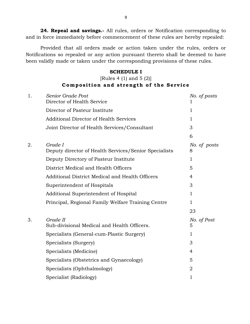**24. Repeal and savings.-** All rules, orders or Notification corresponding to and in force immediately before commencement of these rules are hereby repealed:

 Provided that all orders made or action taken under the rules, orders or Notifications so repealed or any action pursuant thereto shall be deemed to have been validly made or taken under the corresponding provisions of these rules.

#### **SCHEDULE I**

# **Composition and strength of the Service** [Rules 4 (1) and 5 (2)]

| 1. | Senior Grade Post<br>Director of Health Service                  | No. of posts      |
|----|------------------------------------------------------------------|-------------------|
|    | Director of Pasteur Institute                                    | 1                 |
|    | <b>Additional Director of Health Services</b>                    | 1.                |
|    | Joint Director of Health Services/Consultant                     | 3                 |
|    |                                                                  | 6                 |
| 2. | Grade I<br>Deputy director of Health Services/Senior Specialists | No. of posts<br>8 |
|    | Deputy Directory of Pasteur Institute                            | 1                 |
|    | District Medical and Health Officers                             | 5                 |
|    | Additional District Medical and Health Officers                  | 4                 |
|    | Superintendent of Hospitals                                      | 3                 |
|    | Additional Superintendent of Hospital                            | 1                 |
|    | Principal, Regional Family Welfare Training Centre               | 1.                |
|    |                                                                  | 23                |
| 3. | Grade II<br>Sub-divisional Medical and Health Officers.          | No. of Post<br>5  |
|    | Specialists (General-cum-Plastic Surgery)                        | 1                 |
|    | Specialists (Surgery)                                            | 3                 |
|    | Specialists (Medicine)                                           | 4                 |
|    | Specialists (Obstetrics and Gynaecology)                         | 5                 |
|    | Specialists (Ophthalmology)                                      | $\overline{2}$    |
|    | Specialist (Radiology)                                           | 1                 |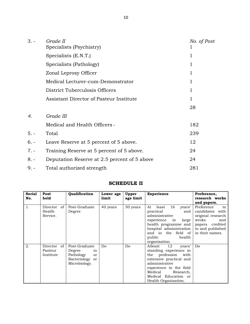| $3. -$ | Grade II                                     | No. of Post |
|--------|----------------------------------------------|-------------|
|        | Specialists (Psychiatry)                     |             |
|        | Specialists (E.N.T.)                         | 1           |
|        | Specialists (Pathology)                      | 1           |
|        | Zonal Leprosy Officer                        | 1           |
|        | Medical Lecturer-cum-Demonstrator            | 1           |
|        | District Tuberculosis Officers               | 1           |
|        | Assistant Director of Pasteur Institute      | 1           |
|        |                                              | 28          |
| 4.     | Grade III                                    |             |
|        | Medical and Health Officers -                | 182         |
| $5. -$ | Total                                        | 239         |
| $6. -$ | Leave Reserve at 5 percent of 5 above.       | 12          |
| $7. -$ | Training Reserve at 5 percent of 5 above.    | 24          |
| $8. -$ | Deputation Reserve at 2.5 percent of 5 above | 24          |
| $9. -$ | Total authorized strength                    | 281         |

## **SCHEDULE II**

| <b>Serial</b><br>No. | Post<br>held                        | Qualification                                                                        | Lower age<br>limit | Upper<br>age limit | <b>Experience</b>                                                                                                                                                                                                          | Preference,<br>research works                                                                                                      |
|----------------------|-------------------------------------|--------------------------------------------------------------------------------------|--------------------|--------------------|----------------------------------------------------------------------------------------------------------------------------------------------------------------------------------------------------------------------------|------------------------------------------------------------------------------------------------------------------------------------|
|                      |                                     |                                                                                      |                    |                    |                                                                                                                                                                                                                            | and papers.                                                                                                                        |
| 1.                   | Director of<br>Health<br>Service.   | Post-Graduate<br>Degree                                                              | 40 years           | 50 years           | years'<br>16<br>At<br>least<br>practical<br>and<br>administrative<br>experience<br>in<br>large<br>health programme and<br>hospital administration<br>and in the field of<br>public<br>health<br>organisation.              | Preference<br>to<br>candidates with<br>original research<br>wroks<br>and<br>papers credited<br>to and published<br>in their names. |
| 2.                   | Director of<br>Pasteur<br>Institute | Post-Graduate<br>Degree<br>in<br>Pathology<br>or<br>Bacteriology or<br>Microbiology. | Do                 | Do                 | - 12<br>Atleast<br>years'<br>standing experience in<br>the profession<br>with<br>extensive practical and<br>administrative<br>experience in the field<br>Medical Research,<br>Medical Education or<br>Health Organisation. | Do                                                                                                                                 |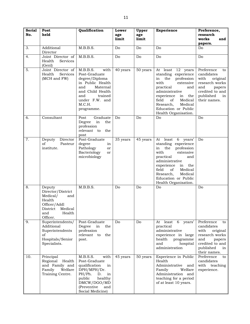| <b>Serial</b> | Post                                                                                                                         | Qualification                                                                                                                                                               | Lower        | Upper        | <b>Experience</b>                                                                                                                                                                                                                                             | Preference,                                                                                                                                 |
|---------------|------------------------------------------------------------------------------------------------------------------------------|-----------------------------------------------------------------------------------------------------------------------------------------------------------------------------|--------------|--------------|---------------------------------------------------------------------------------------------------------------------------------------------------------------------------------------------------------------------------------------------------------------|---------------------------------------------------------------------------------------------------------------------------------------------|
| No.           | held                                                                                                                         |                                                                                                                                                                             | age<br>limit | age<br>limit |                                                                                                                                                                                                                                                               | research<br>works<br>and                                                                                                                    |
|               |                                                                                                                              |                                                                                                                                                                             |              |              |                                                                                                                                                                                                                                                               | papers.                                                                                                                                     |
| 3.            | Additional<br>Director                                                                                                       | M.B.B.S.                                                                                                                                                                    | Do           | Do           | Do                                                                                                                                                                                                                                                            | Do                                                                                                                                          |
| 4.            | Joint Director of<br>Health<br>Services<br>(Genl)                                                                            | M.B.B.S.                                                                                                                                                                    | Do           | Do           | Do                                                                                                                                                                                                                                                            | Do                                                                                                                                          |
| 5.            | Joint Director of<br>Health<br><b>Services</b><br>(MCH and FW)                                                               | M.B.B.S.<br>with<br>Post-Graduate<br>degree/Diploma<br>in Public Health<br>Maternal<br>and<br>and Child Health<br>and<br>trained<br>under F.W. and<br>M.C.H.<br>programme.  | 40 years     | 50 years     | At least 12 years<br>standing experience<br>the<br>profession<br>in<br>with<br>extensive<br>practical<br>and<br>administrative<br>experience in<br>the<br>field<br>Medical<br>of<br>Research,<br>Medical<br>Education or Public<br>Health Organisation.       | Preference<br>to<br>candidates<br>with<br>original<br>research works<br>and<br>papers<br>credited to and<br>published<br>in<br>their names. |
| 6.            | Consultant                                                                                                                   | Post<br>Graduate<br>Degree<br>in<br>the<br>profession<br>relevant to<br>the<br>post                                                                                         | Do           | Do           | Do                                                                                                                                                                                                                                                            | Do                                                                                                                                          |
| 7.            | Deputy<br>Director<br>of<br>Pasteur<br>institute.                                                                            | Post-Graduate<br>degree<br>in<br>Pathology<br>or<br>Bacteriology<br>or<br>microbiology                                                                                      | 35 years     | 45 years     | least 6 years'<br>At<br>standing experience<br>the<br>profession<br>in<br>with<br>extensive<br>practical<br>and<br>administrative<br>experience<br>in<br>the<br>field<br>of<br>Medical<br>Medical<br>Research,<br>Education or Public<br>Health Organisation. | Do                                                                                                                                          |
| 8.            | Deputy<br>Director/District<br>Medical/<br>and<br>Health<br>Officer/Addl<br>Medical<br>District<br>Health<br>and<br>Officer. | M.B.B.S.                                                                                                                                                                    | Do           | Do           | Do                                                                                                                                                                                                                                                            | Do                                                                                                                                          |
| 9.            | Superintendents/<br>Additional<br>Superintendents<br>of<br>Hospitals/Senior<br>Specialists.                                  | Post-Graduate<br>Degree<br>in<br>the<br>profession<br>relevant to<br>the<br>post.                                                                                           | Do           | Do           | 6<br>years'<br>At least<br>practical<br>administrative<br>experience in large<br>health<br>programme<br>and<br>hospital<br>administration                                                                                                                     | Preference<br>to<br>candidates<br>with<br>original<br>research works<br>and<br>papers<br>credited to and<br>published<br>in<br>their names. |
| 10.           | Principal<br>Regional<br>Health<br>and Family and<br>Family<br>Welfare<br>Training Centre.                                   | M.B.S.S.<br>with<br>Post-Graduate<br>qualification<br>in<br>DPH/MPH/Dr.<br>PH/Ph.<br>D.<br>in<br>healthy<br>public<br>DMCW/DGO/MD<br>(Preventive<br>and<br>Social Medicine) | 45 years     | 50 years     | Experience in Public<br>Health<br>Administrative<br>and<br>Family<br>Welfare<br>Administration and<br>teaching for a period<br>of at least 10 years.                                                                                                          | Preference<br>to<br>candidates<br>with teaching<br>experience.                                                                              |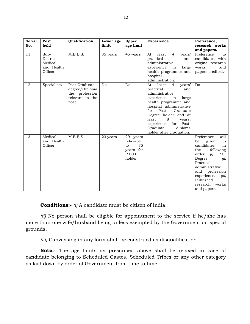| <b>Serial</b> | Post                                                  | Qualification                                                                 | Lower age      | Upper                                                              | <b>Experience</b>                                                                                                                                                                                                                                                                                                     | Preference,                                                                                                                                                                                                                                      |
|---------------|-------------------------------------------------------|-------------------------------------------------------------------------------|----------------|--------------------------------------------------------------------|-----------------------------------------------------------------------------------------------------------------------------------------------------------------------------------------------------------------------------------------------------------------------------------------------------------------------|--------------------------------------------------------------------------------------------------------------------------------------------------------------------------------------------------------------------------------------------------|
| No.           | held                                                  |                                                                               | limit          | age limit                                                          |                                                                                                                                                                                                                                                                                                                       | research works<br>and papers.                                                                                                                                                                                                                    |
| 11.           | Sub-<br>District<br>Medical<br>and Health<br>Officer. | M.B.B.S.                                                                      | 35 years       | 45 years                                                           | years'<br>least<br>$\overline{4}$<br>At<br>practical<br>and<br>administrative<br>experience<br>large<br>in<br>health programme and<br>hospital<br>administration.                                                                                                                                                     | Preference<br>to<br>candidates with<br>original research<br>works<br>and<br>papers credited.                                                                                                                                                     |
| 12.           | Specialists                                           | Post-Graduate<br>degree/Diploma<br>the profession<br>relevant to the<br>post. | D <sub>o</sub> | D <sub>0</sub>                                                     | years'<br>least<br>At.<br>$\overline{4}$<br>practical<br>and<br>administrative<br>experience<br>in<br>large<br>health programme and<br>hospital administrative<br>for Post-<br>Graduate<br>Degree holder and at<br>8<br>least<br>years,<br>experience<br>for Post-<br>Graduate<br>diploma<br>holder after graduation. | Do                                                                                                                                                                                                                                               |
| 13.           | Medical<br>and Health<br>Officer.                     | M.B.B.S.                                                                      | 23 years       | 29 years<br>relaxable<br>35<br>to<br>years for<br>P.G.D.<br>holder |                                                                                                                                                                                                                                                                                                                       | will<br>Preference<br>be<br>given<br>to<br>candidates<br>in<br>following<br>the<br>order<br>P.G.<br>(i)<br>Degree<br>(ii)<br>Practical<br>administrative<br>and profession<br>experience.<br>(iii)<br>Published<br>research works<br>and papers. |

**Conditions:-** *(i)* A candidate must be citizen of India.

*(ii)* No person shall be eligible for appointment to the service if he/she has more than one wife/husband living unless exempted by the Government on special grounds.

*(iii)* Canvassing in any form shall be construed as disqualification.

 **Note.-** The age limits as prescribed above shall be relaxed in case of candidate belonging to Scheduled Castes, Scheduled Tribes or any other category as laid down by order of Government from time to time.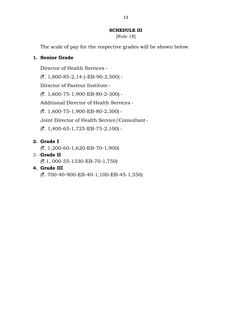#### **SCHEDULE III**

[Rule 18]

The scale of pay for the respective grades will be shown below:

#### **1.** �**Senior Grade**

Director of Health Services

 $(7. 1,800-85-2,14-)$ -EB-90-2,500) -

Director of Pasteur Institute

(`. 1,600-75-1,900-EB-80-2-300)

Additional Director of Health Services

(`. 1,600-75-1,900-EB-80-2,300)

Joint Director of Health Service/Consultant

 $({\overline{\mathfrak{c}}}, 1,400$ -65-1,725-EB-75-2,100) -

#### **2.** �**Grade I**

 $({\overline{\mathbf{z}}}, 1,200$ -60-1,620-EB-70-1,900)

#### 3. **Grade II**

 $(\mathbf{7.1}, 000 - 55 - 1330 - EB - 70 - 1,750)$ 

#### **4.** �**Grade III**

(`. 700-40-900-EB-40-1,100-EB-45-1,550)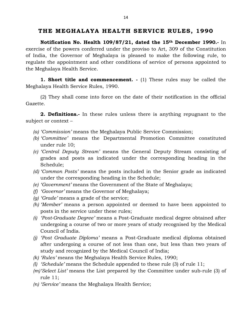# **THE MEGHALAYA HEALTH SERVICE RULES , 1990**

 **Notification No. Health 109/87/21, dated the 15th December 1990.-** In exercise of the powers conferred under the proviso to Art, 309 of the Constitution regulate the appointment and other conditions of service of persons appointed to of India, the Governor of Meghalaya is pleased to make the following rule, to the Meghalaya Health Service.

 **1. Short title and commencement. -** (1) These rules may be called the Meghalaya Health Service Rules, 1990.

(2) They shall come into force on the date of their notification in the official Gazette.

**2. Definitions.-** In these rules unless there is anything repugnant to the subject or context –

- *(a) 'Commission'* means the Meghalaya Public Service Commission;
- *(b) 'Committee'* means the Departmental Promotion Committee constituted under rule 10;
- *(c) 'Central Deputy Stream'* means the General Deputy Stream consisting of grades and posts as indicated under the corresponding heading in the Schedule;
- *(d) 'Common Posts'* means the posts included in the Senior grade as indicated under the corresponding heading in the Schedule;
- *(e) 'Government'* means the Government of the State of Meghalaya;
- *(f)* �*'Governor'* means the Governor of Meghalaya;
- *(g) 'Grade'* means a grade of the service;
- *(h) 'Member'* means a person appointed or deemed to have been appointed to posts in the service under these rules;
- *(i)* � *'Post-Graduate Degree'* means a Post-Graduate medical degree obtained after undergoing a course of two or more years of study recognised by the Medical Council of India.
- after undergoing a course of not less than one, but less than two years of *(j)* � *'Post Graduate Diploma'* means a Post-Graduate medical diploma obtained study and recognized by the Medical Council of India;
- *(k) 'Rules'* means the Meghalaya Health Service Rules, 1990;
- *(l)* � *'Schedule'* means the Schedule appended to these rule (3) of rule 11;
- *(m)'Select List'* means the List prepared by the Committee under sub-rule (3) of rule 11;
- *(n) 'Service'* means the Meghalaya Health Service;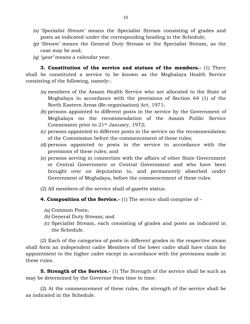- *(o) 'Specialist Stream'* �means the Specialist Stream consisting of grades and posts as indicated under the corresponding heading in the Schedule;
- *(p) 'Stream'* �means the General Duty Stream or the Specialist Stream, as the case may be and;
- *(q) 'year'* means a calendar year.

**3. Constitution of the service and statues of the members.-** (1) There shall be constituted a service to be known as the Meghalaya Health Service consisting of the following, namely:-

- Meghalaya in accordance with the provisions of Section 64 (1) of the *(a)* members of the Assam Health Service who are allocated to the State of North Eastern Areas (Re-organisation) Act, 1971;
- *(b)* persons appointed to different posts in the service by the Government of Meghalaya on the recommendation of the Assam Public Service Commission prior to 21st January, 1972;
- *(c)* persons appointed to different posts in the service on the recommendation of the Commission before the commencement of these rules;
- *(d)* persons appointed to posts in the service in accordance with the provisions of these rules; and
- or Central Government or Central Government and who have been *(e)* persons serving in connection with the affairs of other State Government brought over on deputation to, and permanently absorbed under Government of Meghalaya, before the commencement of these rules.
- (2) All members of the service shall of gazette status.
- **4. Composition of the Service.-** (1) The service shall comprise of
	- *(a)* Common Posts;
	- *(b)* General Duty Stream; and
	- *(c)* Specialist Stream, each consisting of grades and posts as indicated in the Schedule.

 shall form an independent cadre Members of the lower cadre shall have claim for (2) Each of the categories of posts in different grades in the respective steam appointment to the higher cadre except in accordance with the provisions made in these rules.

**5. Strength of the Service.-** (1) The Strength of the service shall be such as may be determined by the Governor from time to time.

 (2) At the commencement of these rules, the strength of the service shall be as indicated in the Schedule.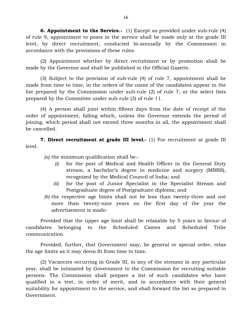**6. Appointment to the Service.-** (1) Except as provided under sub-rule (4) of rule 9, appointment to posts in the service shall be made only at the grade III level, by direct recruitment, conducted bi-annually by the Commission in accordance with the provisions of these rules.

(2) Appointment whether by direct recruitment or by promotion shall be made by the Governor and shall be published in the Official Gazette.

 made from time to time, in the orders of the name of the candidates appear in the (3) Subject to the provision of sub-rule (4) of rule 7, appointment shall be list prepared by the Commission under sub-rule (2) of rule 7, or the select lists prepared by the Committee under sub-rule (3) of rule 11.

 (4) A person shall joint within fifteen days from the date of receipt of the order of appointment, falling which, unless the Governor extends the period of joining, which period shall not exceed three months in all, the appointment shall be cancelled.

 **7. Direct recruitment at grade III level.-** (1) For recruitment at grade III level.

*(a)* the minimum qualification shall be:-

- *(i)* � for the post of Medical and Health Officer in the General Duty stream, a bachelor's degree in medicine and surgery (MBBS), recognized by the Medical Council of India; and
- *(ii)* � for the post of Junior Specialist in the Specialist Stream and Postgraduate degree of Postgraduate diploma; and
- *(b)* the respective age limits shall not be less than twenty-three and not more than twenty-nine years on the first day of the year the advertisement is made:

 Provided that the upper age limit shall be relaxable by 5 years in favour of candidates belonging to the Scheduled Castes and Scheduled Tribe communication.

Provided, further, that Government may, be general or special order, relax the age limits as it may deem fit from time to time.

 suitability for appointment to the service, and shall forward the list so prepared to (2) Vacancies occurring in Grade III, in any of the streams in any particular year, shall be intimated by Government to the Commission for recruiting suitable persons. The Commission shall prepare a list of such candidates who have qualified in a test, in order of merit, and in accordance with their general Government.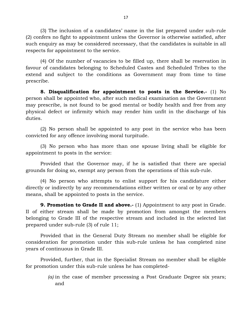(3) The inclusion of a candidates' name in the list prepared under sub-rule such enquiry as may be considered necessary, that the candidates is suitable in all (2) confers no fight to appointment unless the Governor is otherwise satisfied, after respects for appointment to the service.

 favour of candidates belonging to Scheduled Castes and Scheduled Tribes to the extend and subject to the conditions as Government may from time to time (4) Of the number of vacancies to be filled up, there shall be reservation in prescribe.

 **8. Disqualification for appointment to posts in the Service.-** (1) No may prescribe, is not found to be good mental or bodily health and free from any person shall be appointed who, after such medical examination as the Government physical defect or infirmity which may render him unfit in the discharge of his duties.

 (2) No person shall be appointed to any post in the service who has been convicted for any offence involving moral turpitude.

(3) No person who has more than one spouse living shall be eligible for appointment to posts in the service:

 Provided that the Governor may, if he is satisfied that there are special grounds for doing so, exempt any person from the operations of this sub-rule.

 (4) No person who attempts to enlist support for his candidature either directly or indirectly by any recommendations either written or oral or by any other means, shall be appointed to posts in the service.

 II of either stream shall be made by promotion from amongst the members belonging to Grade III of the respective stream and included in the selected list **9. Promotion to Grade II and above.**- (1) Appointment to any post in Grade. prepared under sub-rule (3) of rule 11;

 Provided that in the General Duty Stream no member shall be eligible for consideration for promotion under this sub-rule unless he has completed nine years of continuous in Grade III.

Provided, further, that in the Specialist Stream no member shall be eligible for promotion under this sub-rule unless he has completed-

> *(a)* in the case of member processing a Post Graduate Degree six years; and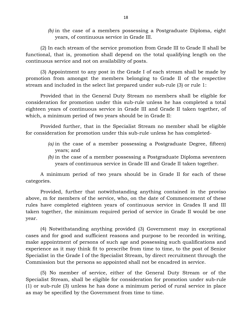*(b)* in the case of a members possessing a Postgraduate Diploma, eight years, of continuous service in Grade III.

 (2) In each stream of the service promotion from Grade III to Grade II shall be functional, that is, promotion shall depend on the total qualifying length on the continuous service and not on availability of posts.

 (3) Appointment to any post in the Grade I of each stream shall be made by promotion from amongst the members belonging to Grade II of the respective stream and included in the select list prepared under sub-rule (3) or rule 1:

 Provided that in the General Duty Stream no members shall be eligible for consideration for promotion under this sub-rule unless he has completed a total eighteen years of continuous service in Grade III and Grade II taken together, of which, a minimum period of two years should be in Grade II:

 Provided further, that in the Specialist Stream no member shall be eligible for consideration for promotion under this sub-rule unless he has completed-

- *(a)* in the case of a member possessing a Postgraduate Degree, fifteen) years; and
- *(b)* in the case of a member possessing a Postgraduate Diploma seventeen years of continuous service in Grade III and Grade II taken together.

 A minimum period of two years should be in Grade II for each of these categories.

 rules have completed eighteen years of continuous service in Grades II and III Provided, further that notwithstanding anything contained in the proviso above, m for members of the service, who, on the date of Commencement of these taken together, the minimum required period of service in Grade II would be one year.

 (4) Notwithstanding anything provided (3) Government may in exceptional cases and for good and sufficient reasons and purpose to be recorded in writing, make appointment of persons of such age and possessing such qualifications and experience as it may think fit to prescribe from time to time, to the post of Senior Specialist in the Grade I of the Specialist Stream, by direct recruitment through the Commission but the persons so appointed shall not be encadred in service.

 (1) or sub-rule (3) unless he has done a minimum period of rural service in place (5) No member of service, either of the General Duty Stream or of the Specialist Stream, shall be eligible for consideration for promotion under sub-rule as may be specified by the Government from time to time.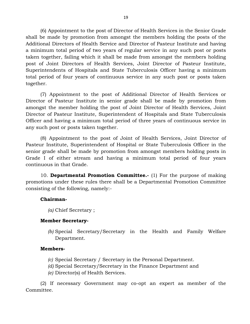shall be made by promotion from amongst the members holding the posts of the Additional Directors of Health Service and Director of Pasteur Institute and having a minimum total period of two years of regular service in any such post or posts taken together, failing which it shall be made from amongst the members holding Superintendents of Hospitals and State Tuberculosis Officer having a minimum (6) Appointment to the post of Director of Health Services in the Senior Grade post of Joint Directors of Health Services, Joint Director of Pasteur Institute, total period of four years of continuous service in any such post or posts taken together.

 (7) Appointment to the post of Additional Director of Health Services or Director of Pasteur Institute in senior grade shall be made by promotion from Officer and having a minimum total period of three years of continuous service in amongst the member holding the post of Joint Director of Health Services, Joint Director of Pasteur Institute, Superintendent of Hospitals and State Tuberculosis any such post or posts taken together.

 senior grade shall be made by promotion from amongst members holding posts in Grade I of either stream and having a minimum total period of four years (8) Appointment to the post of Joint of Health Services, Joint Director of Pasteur Institute, Superintendent of Hospital or State Tuberculosis Officer in the continuous in that Grade.

10. **Departmental Promotion Committee.-** (1) For the purpose of making promotions under these rules there shall be a Departmental Promotion Committee consisting of the following, namely:-

#### **Chairman-**

*(a)* Chief Secretary ;

#### **Member Secretary-**

*(b)* Special Secretary/Secretary in the Health and Family Welfare Department.

#### **Members-**

- *(c)* Special Secretary / Secretary in the Personal Department.
- *(d)* Special Secretary/Secretary in the Finance Department and
- *(e)* Director(s) of Health Services.

(2) If necessary Government may co-opt an expert as member of the Committee.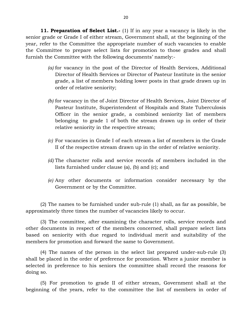**11. Preparation of Select List.**- (1) If in any year a vacancy is likely in the the Committee to prepare select lists for promotion to those grades and shall senior grade or Grade I of either stream, Government shall, at the beginning of the year, refer to the Committee the appropriate number of such vacancies to enable furnish the Committee with the following documents' namely:-

- *(a)* for vacancy in the post of the Director of Health Services, Additional Director of Health Services or Director of Pasteur Institute in the senior grade, a list of members holding lower posts in that grade drawn up in order of relative seniority;
- *(b)* for vacancy in the of Joint Director of Health Services, Joint Director of belonging to grade 1 of both the stream drawn up in order of their Pasteur Institute, Superintendent of Hospitals and State Tuberculosis Officer in the senior grade, a combined seniority list of members relative seniority in the respective stream;
- *(c)* For vacancies in Grade I of each stream a list of members in the Grade II of the respective stream drawn up in the order of relative seniority.
- *(d)* The character rolls and service records of members included in the lists furnished under clause (a), (b) and (c); and
- *(e)* Any other documents or information consider necessary by the Government or by the Committee.

(2) The names to be furnished under sub-rule (1) shall, as far as possible, be approximately three times the number of vacancies likely to occur.

 based on seniority with due regard to individual merit and suitability of the (3) The committee, after examining the character rolls, service records and other documents in respect of the members concerned, shall prepare select lists members for promotion and forward the same to Government.

 (4) The names of the person in the select list prepared under-sub-rule (3) shall be placed in the order of preference for promotion. Where a junior member is selected in preference to his seniors the committee shall record the reasons for doing so.

 (5) For promotion to grade II of either stream, Government shall at the beginning of the years, refer to the committee the list of members in order of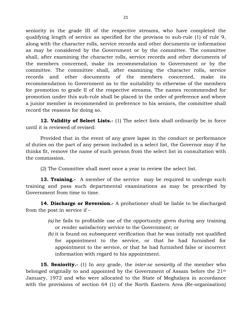qualifying length of service as specified for the provisos to sub-rule (1) of rule 9, along with the character rolls, service records and other documents or information for promotion to grade II of the respective streams. The names recommended for promotion under this sub-rule shall be placed in the order of preference and where a junior member is recommended in preference to his seniors, the committee shall seniority in the grade III of the respective streams, who have completed the as may be considered by the Government or by the committee. The committee shall, after examining the character rolls, service records and other documents of the members concerned, make its recommendation to Government or by the committee. The committee shall, after examining the character rolls, service records and other documents of the members concerned, make its recommendation to Government as to the suitability to otherwise of the members record the reasons for doing so.

**12. Validity of Select Lists.-** (1) The select lists shall ordinarily be in force until it is reviewed of revised:

 Provided that in the event of any grave lapse in the conduct or performance of duties on the part of any person included in a select list, the Governor may if he thinks fit, remove the name of such person from the select list in consultation with the commission.

(2) The Committee shall meet once a year to review the select list.

 **13. Training.-** A member of the service may be required to undergo such training and pass such departmental examinations as may be prescribed by Government from time to time.

 from the post in service if – **14. Discharge or Reversion.-** A probationer shall be liable to be discharged

- *(a)* he fails to profitable use of the opportunity given during any training or render satisfactory service to the Government; or
- *(b)* it is found on subsequent verification that he was initially not qualified for appointment to the service, or that he had furnished for appointment to the service, or that he had furnished false or incorrect information with regard to his appointment.

 **15. Seniority.-** (1) In any grade, the *inter-se seniority* of the member who January, 1972 and who were allocated to the State of Meghalaya in accordance with the provisions of section 64 (1) of the North Eastern Area (Re-organisation) belonged originally to and appointed by the Government of Assam before the 21st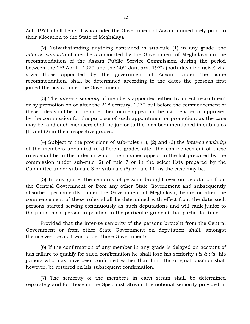Act. 1971 shall be as it was under the Government of Assam immediately prior to their allocation to the State of Meghalaya.

 (2) Notwithstanding anything contained is sub-rule (1) in any grade, the between the 2<sup>nd</sup> April,, 1970 and the 20<sup>th</sup> January, 1972 (both days inclusive) vis*inter-se seniority* of members appointed by the Government of Meghalaya on the recommendation of the Assam Public Service Commission during the period à-vis those appointed by the government of Assam under the same recommendation, shall be determined according to the dates the persons first joined the posts under the Government.

 these rules shall be in the order their name appear in the list prepared or approved by the commission for the purpose of such appointment or promotion, as the case may be, and such members shall be junior to the members mentioned in sub-rules (3) The *inter-se seniority* of members appointed either by direct recruitment or by promotion on or after the 21st century, 1972 but before the commencement of (1) and (2) in their respective grades.

 of the members appointed to different grades after the commencement of these commission under sub-rule (2) of rule 7 or in the select lists prepared by the (4) Subject to the provisions of sub-rules (1), (2) and (3) the *inter-se seniority*  rules shall be in the order in which their names appear in the list prepared by the Committee under sub-rule 3 or sub-rule (5) or rule 11, as the case may be.

 commencement of these rules shall be determined with effect from the date such persons started serving continuously as such deputations and will rank junior to (5) In any grade, the seniority of persons brought over on deputation from the Central Government or from any other State Government and subsequently absorbed permanently under the Government of Meghalaya, before or after the the junior-most person in position in the particular grade at that particular time:

 Provided that the inter-se seniority of the persons brought from the Central Government or from other State Government on deputation shall, amongst themselves, be as it was under those Governments.

 has failure to qualify for such confirmation he shall lose his seniority *vis-à-vis* his juniors who may have been confirmed earlier than him. His original position shall (6) If the confirmation of any member in any grade is delayed on account of however, be restored on his subsequent confirmation.

 (7) The seniority of the members in each steam shall be determined separately and for those in the Specialist Stream the notional seniority provided in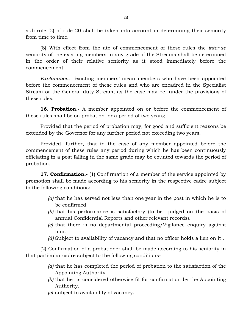sub-rule (2) of rule 20 shall be taken into account in determining their seniority from time to time.

 seniority of the existing members in any grade of the Streams shall be determined (8) With effect from the ate of commencement of these rules the *inter-se*  in the order of their relative seniority as it stood immediately before the commencement.

 *Explanation.- '*existing members' mean members who have been appointed before the commencement of these rules and who are encadred in the Specialist Stream or the General duty Stream, as the case may be, under the provisions of these rules.

**16. Probation.-** A member appointed on or before the commencement of these rules shall be on probation for a period of two years;

 Provided that the period of probation may, for good and sufficient reasons be extended by the Governor for any further period not exceeding two years.

 Provided, further, that in the case of any member appointed before the commencement of these rules any period during which he has been continuously officiating in a post falling in the same grade may be counted towards the period of probation.

**17. Confirmation.**- (1) Confirmation of a member of the service appointed by promotion shall be made according to his seniority in the respective cadre subject to the following conditions:-

- *(a)* that he has served not less than one year in the post in which he is to be confirmed.
- *(b)* that his performance is satisfactory (to be judged on the basis of annual Confidential Reports and other relevant records).
- *(c)* that there is no departmental proceeding/Vigilance enquiry against him.
- *(d)* Subject to availability of vacancy and that no officer holds a lien on it .

 (2) Confirmation of a probationer shall be made according to his seniority in that particular cadre subject to the following conditions-

- *(a)* that he has completed the period of probation to the satisfaction of the Appointing Authority.
- *(b)* that he is considered otherwise fit for confirmation by the Appointing Authority.
- *(c)* subject to availability of vacancy.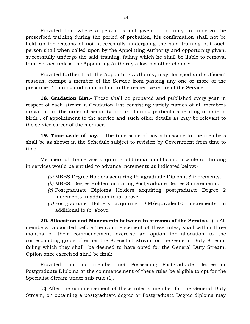Provided that where a person is not given opportunity to undergo the person shall when called upon by the Appointing Authority and opportunity given, successfully undergo the said training, failing which he shall be liable to removal prescribed training during the period of probation, his confirmation shall not be held up for reasons of not successfully undergoing the said training but such from Service unless the Appointing Authority allow his other chance:

 Provided further that, the Appointing Authority, may, for good and sufficient reasons, exempt a member of the Service from passing any one or more of the prescribed Training and confirm him in the respective cadre of the Service.

 **18. Gradation List.-** These shall be prepared and published every year in drawn up in the order of seniority and containing particulars relating to date of birth , of appointment to the service and such other details as may be relevant to respect of each stream a Gradation List consisting variety names of all members the service career of the member.

 **19. Time scale of pay.-** The time scale of pay admissible to the members shall be as shown in the Schedule subject to revision by Government from time to time.

 Members of the service acquiring additional qualifications while continuing in services would be entitled to advance increments as indicated below:-

- *(a)* MBBS Degree Holders acquiring Postgraduate Diploma 3 increments.
- *(b)* MBBS, Degree Holders acquiring Postgraduate Degree 3 increments.
- *(c)* Postgraduate Diploma Holders acquiring postgraduate Degree 2 increments in addition to (a) above.
- *(d)* Postgraduate Holders acquiring D.M/equivalent-3 increments in additional to (b) above.

 **20. Allocation and Movements between to streams of the Service.-** (1) All members appointed before the commencement of these rules, shall within three corresponding grade of either the Specialist Stream or the General Duty Stream, failing which they shall be deemed to have opted for the General Duty Stream, months of their commencement exercise an option for allocation to the Option once exercised shall be final:

 Provided that no member not Possessing Postgraduate Degree or Postgraduate Diploma at the commencement of these rules be eligible to opt for the Specialist Stream under sub-rule (1).

 (2) After the commencement of these rules a member for the General Duty Stream, on obtaining a postgraduate degree or Postgraduate Degree diploma may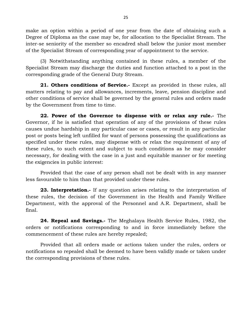make an option within a period of one year from the date of obtaining such a Degree of Diploma as the case may be, for allocation to the Specialist Stream. The inter-se seniority of the member so encadred shall below the junior most member of the Specialist Stream of corresponding year of appointment to the service.

 Specialist Stream may discharge the duties and function attached to a post in the (3) Notwithstanding anything contained in these rules, a member of the corresponding grade of the General Duty Stream.

 **21. Others conditions of Service.-** Except as provided in these rules, all matters relating to pay and allowances, increments, leave, pension discipline and other conditions of service shall be governed by the general rules and orders made by the Government from time to time.

 **22. Power of the Governor to dispense with or relax any rule.-** The these rules, to such extent and subject to such conditions as he may consider necessary, for dealing with the case in a just and equitable manner or for meeting Governor, if he is satisfied that operation of any of the provisions of these rules causes undue hardship in any particular case or cases, or result in any particular post or posts being left unfilled for want of persons possessing the qualifications as specified under these rules, may dispense with or relax the requirement of any of the exigencies in public interest:

 Provided that the case of any person shall not be dealt with in any manner less favourable to him than that provided under these rules.

 Department, with the approval of the Personnel and A.R. Department, shall be **23. Interpretation.-** If any question arises relating to the interpretation of these rules, the decision of the Government in the Health and Family Welfare final.

 **24. Repeal and Savings.-** The Meghalaya Health Service Rules, 1982, the orders or notifications corresponding to and in force immediately before the commencement of these rules are hereby repealed;

 Provided that all orders made or actions taken under the rules, orders or notifications so repealed shall be deemed to have been validly made or taken under the corresponding provisions of these rules.